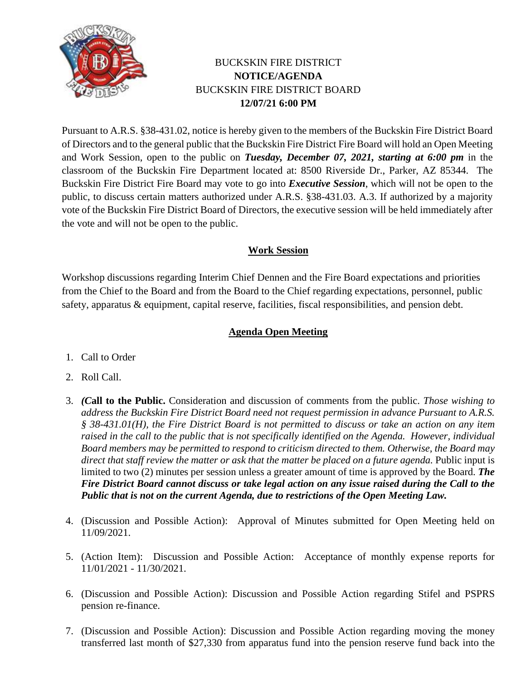

## BUCKSKIN FIRE DISTRICT **NOTICE/AGENDA** BUCKSKIN FIRE DISTRICT BOARD **12/07/21 6:00 PM**

Pursuant to A.R.S. §38-431.02, notice is hereby given to the members of the Buckskin Fire District Board of Directors and to the general public that the Buckskin Fire District Fire Board will hold an Open Meeting and Work Session, open to the public on *Tuesday, December 07, 2021, starting at 6:00 pm* in the classroom of the Buckskin Fire Department located at: 8500 Riverside Dr., Parker, AZ 85344. The Buckskin Fire District Fire Board may vote to go into *Executive Session*, which will not be open to the public, to discuss certain matters authorized under A.R.S. §38-431.03. A.3. If authorized by a majority vote of the Buckskin Fire District Board of Directors, the executive session will be held immediately after the vote and will not be open to the public.

## **Work Session**

Workshop discussions regarding Interim Chief Dennen and the Fire Board expectations and priorities from the Chief to the Board and from the Board to the Chief regarding expectations, personnel, public safety, apparatus & equipment, capital reserve, facilities, fiscal responsibilities, and pension debt.

## **Agenda Open Meeting**

- 1. Call to Order
- 2. Roll Call.
- 3. *(C***all to the Public.** Consideration and discussion of comments from the public. *Those wishing to address the Buckskin Fire District Board need not request permission in advance Pursuant to A.R.S. § 38-431.01(H), the Fire District Board is not permitted to discuss or take an action on any item raised in the call to the public that is not specifically identified on the Agenda. However, individual Board members may be permitted to respond to criticism directed to them. Otherwise, the Board may*  direct that staff review the matter or ask that the matter be placed on a future agenda. Public input is limited to two (2) minutes per session unless a greater amount of time is approved by the Board. *The Fire District Board cannot discuss or take legal action on any issue raised during the Call to the Public that is not on the current Agenda, due to restrictions of the Open Meeting Law.*
- 4. (Discussion and Possible Action): Approval of Minutes submitted for Open Meeting held on 11/09/2021.
- 5. (Action Item): Discussion and Possible Action: Acceptance of monthly expense reports for 11/01/2021 - 11/30/2021.
- 6. (Discussion and Possible Action): Discussion and Possible Action regarding Stifel and PSPRS pension re-finance.
- 7. (Discussion and Possible Action): Discussion and Possible Action regarding moving the money transferred last month of \$27,330 from apparatus fund into the pension reserve fund back into the